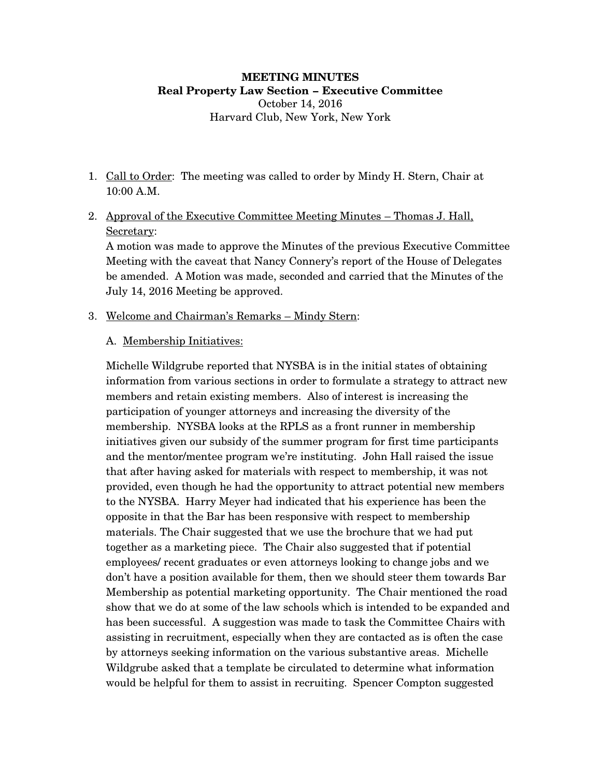#### **MEETING MINUTES Real Property Law Section – Executive Committee** October 14, 2016

Harvard Club, New York, New York

- 1. Call to Order: The meeting was called to order by Mindy H. Stern, Chair at 10:00 A.M.
- 2. Approval of the Executive Committee Meeting Minutes Thomas J. Hall, Secretary:

A motion was made to approve the Minutes of the previous Executive Committee Meeting with the caveat that Nancy Connery's report of the House of Delegates be amended. A Motion was made, seconded and carried that the Minutes of the July 14, 2016 Meeting be approved.

- 3. Welcome and Chairman's Remarks Mindy Stern:
	- A. Membership Initiatives:

Michelle Wildgrube reported that NYSBA is in the initial states of obtaining information from various sections in order to formulate a strategy to attract new members and retain existing members. Also of interest is increasing the participation of younger attorneys and increasing the diversity of the membership. NYSBA looks at the RPLS as a front runner in membership initiatives given our subsidy of the summer program for first time participants and the mentor/mentee program we're instituting. John Hall raised the issue that after having asked for materials with respect to membership, it was not provided, even though he had the opportunity to attract potential new members to the NYSBA. Harry Meyer had indicated that his experience has been the opposite in that the Bar has been responsive with respect to membership materials. The Chair suggested that we use the brochure that we had put together as a marketing piece. The Chair also suggested that if potential employees/ recent graduates or even attorneys looking to change jobs and we don't have a position available for them, then we should steer them towards Bar Membership as potential marketing opportunity. The Chair mentioned the road show that we do at some of the law schools which is intended to be expanded and has been successful. A suggestion was made to task the Committee Chairs with assisting in recruitment, especially when they are contacted as is often the case by attorneys seeking information on the various substantive areas. Michelle Wildgrube asked that a template be circulated to determine what information would be helpful for them to assist in recruiting. Spencer Compton suggested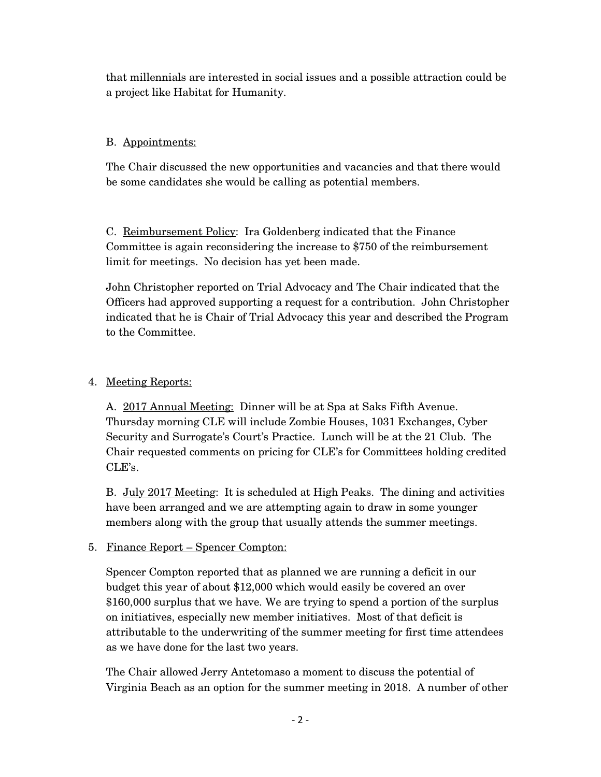that millennials are interested in social issues and a possible attraction could be a project like Habitat for Humanity.

#### B. Appointments:

The Chair discussed the new opportunities and vacancies and that there would be some candidates she would be calling as potential members.

C. Reimbursement Policy: Ira Goldenberg indicated that the Finance Committee is again reconsidering the increase to \$750 of the reimbursement limit for meetings. No decision has yet been made.

John Christopher reported on Trial Advocacy and The Chair indicated that the Officers had approved supporting a request for a contribution. John Christopher indicated that he is Chair of Trial Advocacy this year and described the Program to the Committee.

## 4. Meeting Reports:

A. 2017 Annual Meeting: Dinner will be at Spa at Saks Fifth Avenue. Thursday morning CLE will include Zombie Houses, 1031 Exchanges, Cyber Security and Surrogate's Court's Practice. Lunch will be at the 21 Club. The Chair requested comments on pricing for CLE's for Committees holding credited CLE's.

B. July 2017 Meeting: It is scheduled at High Peaks. The dining and activities have been arranged and we are attempting again to draw in some younger members along with the group that usually attends the summer meetings.

# 5. Finance Report – Spencer Compton:

Spencer Compton reported that as planned we are running a deficit in our budget this year of about \$12,000 which would easily be covered an over \$160,000 surplus that we have. We are trying to spend a portion of the surplus on initiatives, especially new member initiatives. Most of that deficit is attributable to the underwriting of the summer meeting for first time attendees as we have done for the last two years.

The Chair allowed Jerry Antetomaso a moment to discuss the potential of Virginia Beach as an option for the summer meeting in 2018. A number of other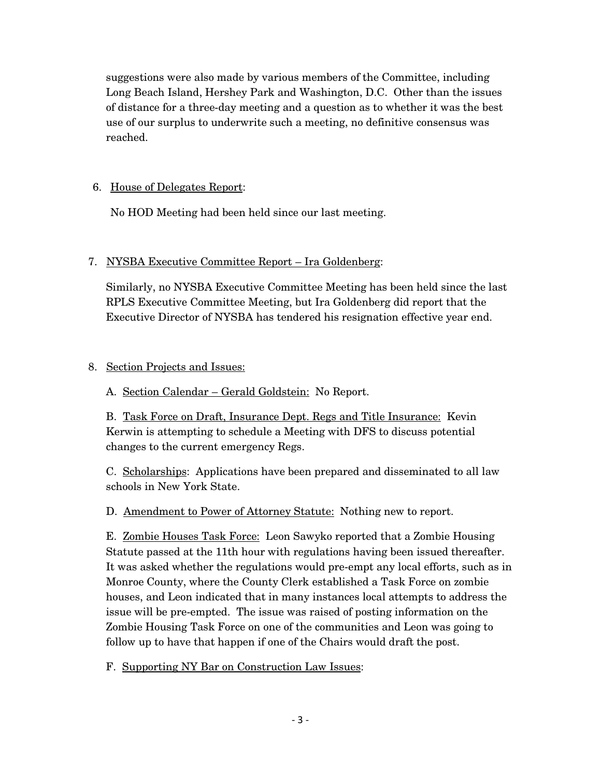suggestions were also made by various members of the Committee, including Long Beach Island, Hershey Park and Washington, D.C. Other than the issues of distance for a three-day meeting and a question as to whether it was the best use of our surplus to underwrite such a meeting, no definitive consensus was reached.

## 6. House of Delegates Report:

No HOD Meeting had been held since our last meeting.

## 7. NYSBA Executive Committee Report – Ira Goldenberg:

Similarly, no NYSBA Executive Committee Meeting has been held since the last RPLS Executive Committee Meeting, but Ira Goldenberg did report that the Executive Director of NYSBA has tendered his resignation effective year end.

## 8. Section Projects and Issues:

A. Section Calendar – Gerald Goldstein: No Report.

B. Task Force on Draft, Insurance Dept. Regs and Title Insurance: Kevin Kerwin is attempting to schedule a Meeting with DFS to discuss potential changes to the current emergency Regs.

C. Scholarships: Applications have been prepared and disseminated to all law schools in New York State.

D. Amendment to Power of Attorney Statute: Nothing new to report.

E. Zombie Houses Task Force: Leon Sawyko reported that a Zombie Housing Statute passed at the 11th hour with regulations having been issued thereafter. It was asked whether the regulations would pre-empt any local efforts, such as in Monroe County, where the County Clerk established a Task Force on zombie houses, and Leon indicated that in many instances local attempts to address the issue will be pre-empted. The issue was raised of posting information on the Zombie Housing Task Force on one of the communities and Leon was going to follow up to have that happen if one of the Chairs would draft the post.

F. Supporting NY Bar on Construction Law Issues: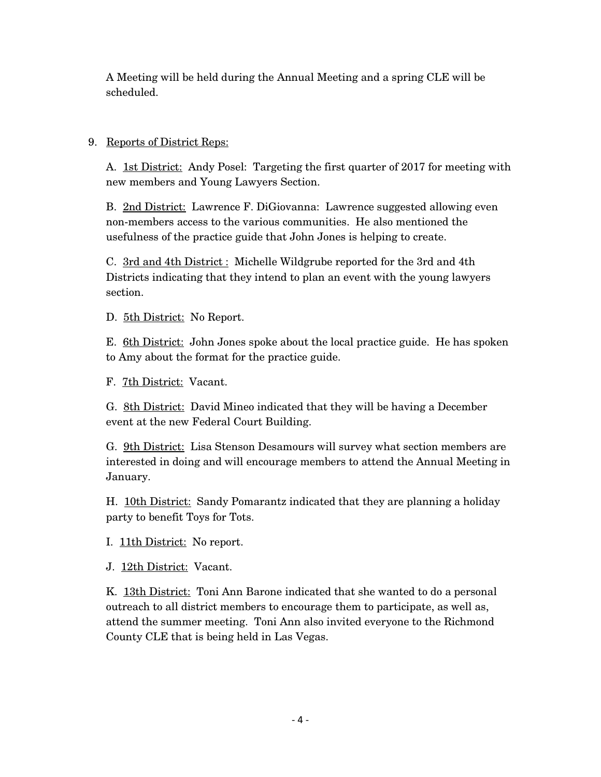A Meeting will be held during the Annual Meeting and a spring CLE will be scheduled.

#### 9. Reports of District Reps:

A. 1st District: Andy Posel: Targeting the first quarter of 2017 for meeting with new members and Young Lawyers Section.

B. 2nd District: Lawrence F. DiGiovanna: Lawrence suggested allowing even non-members access to the various communities. He also mentioned the usefulness of the practice guide that John Jones is helping to create.

C. 3rd and 4th District : Michelle Wildgrube reported for the 3rd and 4th Districts indicating that they intend to plan an event with the young lawyers section.

D. 5th District: No Report.

E. 6th District: John Jones spoke about the local practice guide. He has spoken to Amy about the format for the practice guide.

F. 7th District: Vacant.

G. <u>8th District:</u> David Mineo indicated that they will be having a December event at the new Federal Court Building.

G. 9th District: Lisa Stenson Desamours will survey what section members are interested in doing and will encourage members to attend the Annual Meeting in January.

H. 10th District: Sandy Pomarantz indicated that they are planning a holiday party to benefit Toys for Tots.

I. 11th District: No report.

J. 12th District: Vacant.

K. 13th District: Toni Ann Barone indicated that she wanted to do a personal outreach to all district members to encourage them to participate, as well as, attend the summer meeting. Toni Ann also invited everyone to the Richmond County CLE that is being held in Las Vegas.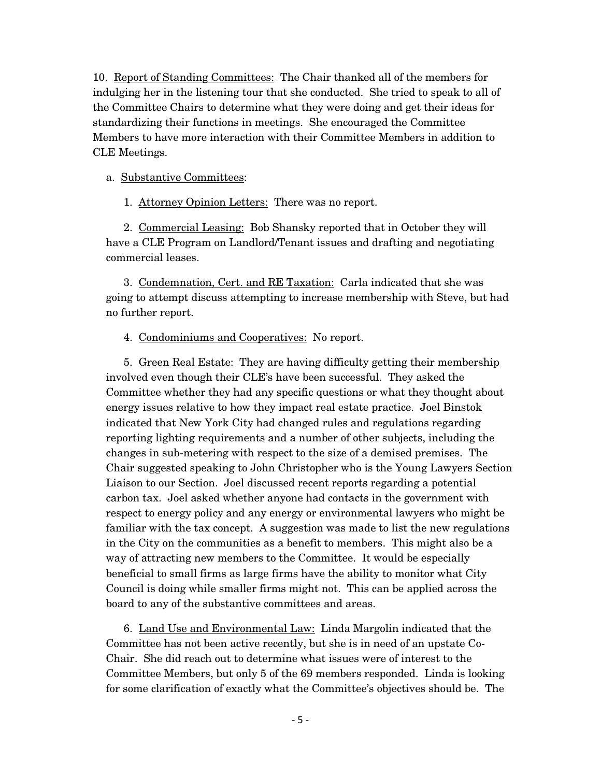10. Report of Standing Committees: The Chair thanked all of the members for indulging her in the listening tour that she conducted. She tried to speak to all of the Committee Chairs to determine what they were doing and get their ideas for standardizing their functions in meetings. She encouraged the Committee Members to have more interaction with their Committee Members in addition to CLE Meetings.

#### a. Substantive Committees:

1. Attorney Opinion Letters: There was no report.

2. Commercial Leasing: Bob Shansky reported that in October they will have a CLE Program on Landlord/Tenant issues and drafting and negotiating commercial leases.

3. Condemnation, Cert. and RE Taxation: Carla indicated that she was going to attempt discuss attempting to increase membership with Steve, but had no further report.

#### 4. Condominiums and Cooperatives: No report.

5. Green Real Estate: They are having difficulty getting their membership involved even though their CLE's have been successful. They asked the Committee whether they had any specific questions or what they thought about energy issues relative to how they impact real estate practice. Joel Binstok indicated that New York City had changed rules and regulations regarding reporting lighting requirements and a number of other subjects, including the changes in sub-metering with respect to the size of a demised premises. The Chair suggested speaking to John Christopher who is the Young Lawyers Section Liaison to our Section. Joel discussed recent reports regarding a potential carbon tax. Joel asked whether anyone had contacts in the government with respect to energy policy and any energy or environmental lawyers who might be familiar with the tax concept. A suggestion was made to list the new regulations in the City on the communities as a benefit to members. This might also be a way of attracting new members to the Committee. It would be especially beneficial to small firms as large firms have the ability to monitor what City Council is doing while smaller firms might not. This can be applied across the board to any of the substantive committees and areas.

6. Land Use and Environmental Law: Linda Margolin indicated that the Committee has not been active recently, but she is in need of an upstate Co-Chair. She did reach out to determine what issues were of interest to the Committee Members, but only 5 of the 69 members responded. Linda is looking for some clarification of exactly what the Committee's objectives should be. The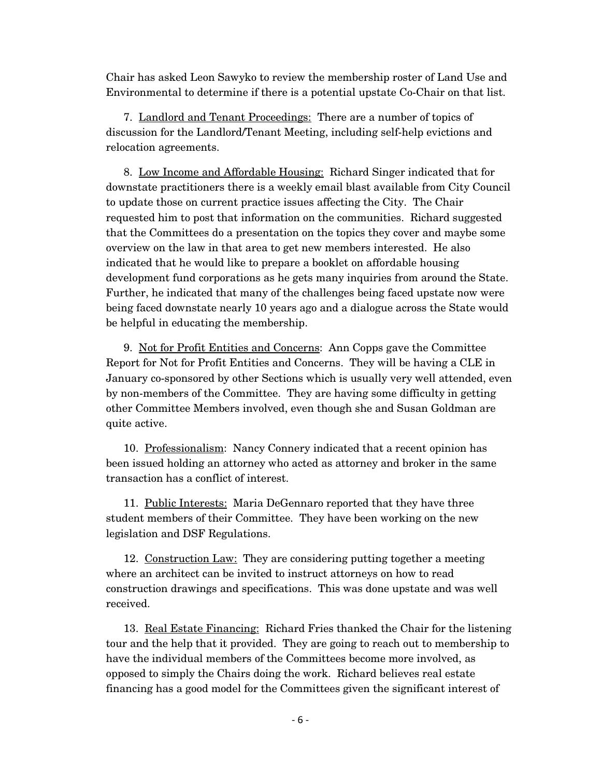Chair has asked Leon Sawyko to review the membership roster of Land Use and Environmental to determine if there is a potential upstate Co-Chair on that list.

7. Landlord and Tenant Proceedings: There are a number of topics of discussion for the Landlord/Tenant Meeting, including self-help evictions and relocation agreements.

8. Low Income and Affordable Housing: Richard Singer indicated that for downstate practitioners there is a weekly email blast available from City Council to update those on current practice issues affecting the City. The Chair requested him to post that information on the communities. Richard suggested that the Committees do a presentation on the topics they cover and maybe some overview on the law in that area to get new members interested. He also indicated that he would like to prepare a booklet on affordable housing development fund corporations as he gets many inquiries from around the State. Further, he indicated that many of the challenges being faced upstate now were being faced downstate nearly 10 years ago and a dialogue across the State would be helpful in educating the membership.

9. Not for Profit Entities and Concerns: Ann Copps gave the Committee Report for Not for Profit Entities and Concerns. They will be having a CLE in January co-sponsored by other Sections which is usually very well attended, even by non-members of the Committee. They are having some difficulty in getting other Committee Members involved, even though she and Susan Goldman are quite active.

10. Professionalism: Nancy Connery indicated that a recent opinion has been issued holding an attorney who acted as attorney and broker in the same transaction has a conflict of interest.

11. Public Interests: Maria DeGennaro reported that they have three student members of their Committee. They have been working on the new legislation and DSF Regulations.

12. Construction Law: They are considering putting together a meeting where an architect can be invited to instruct attorneys on how to read construction drawings and specifications. This was done upstate and was well received.

13. Real Estate Financing: Richard Fries thanked the Chair for the listening tour and the help that it provided. They are going to reach out to membership to have the individual members of the Committees become more involved, as opposed to simply the Chairs doing the work. Richard believes real estate financing has a good model for the Committees given the significant interest of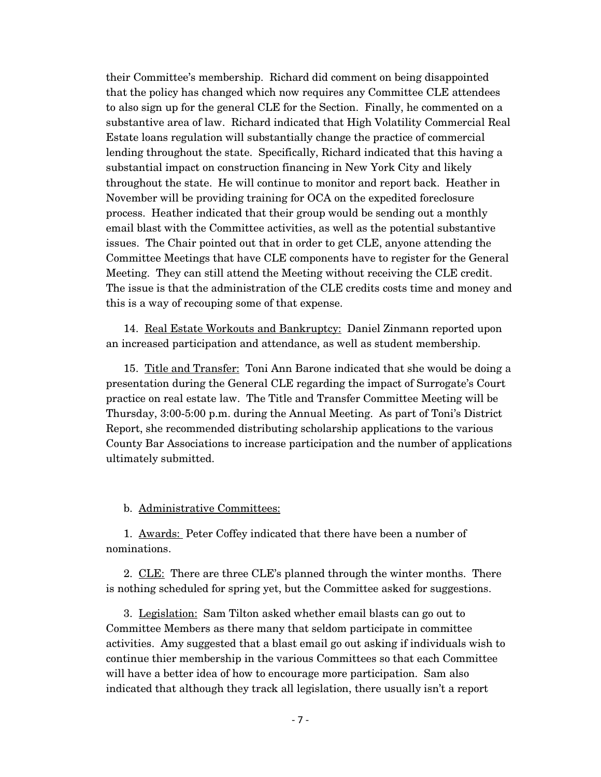their Committee's membership. Richard did comment on being disappointed that the policy has changed which now requires any Committee CLE attendees to also sign up for the general CLE for the Section. Finally, he commented on a substantive area of law. Richard indicated that High Volatility Commercial Real Estate loans regulation will substantially change the practice of commercial lending throughout the state. Specifically, Richard indicated that this having a substantial impact on construction financing in New York City and likely throughout the state. He will continue to monitor and report back. Heather in November will be providing training for OCA on the expedited foreclosure process. Heather indicated that their group would be sending out a monthly email blast with the Committee activities, as well as the potential substantive issues. The Chair pointed out that in order to get CLE, anyone attending the Committee Meetings that have CLE components have to register for the General Meeting. They can still attend the Meeting without receiving the CLE credit. The issue is that the administration of the CLE credits costs time and money and this is a way of recouping some of that expense.

14. Real Estate Workouts and Bankruptcy: Daniel Zinmann reported upon an increased participation and attendance, as well as student membership.

15. Title and Transfer: Toni Ann Barone indicated that she would be doing a presentation during the General CLE regarding the impact of Surrogate's Court practice on real estate law. The Title and Transfer Committee Meeting will be Thursday, 3:00-5:00 p.m. during the Annual Meeting. As part of Toni's District Report, she recommended distributing scholarship applications to the various County Bar Associations to increase participation and the number of applications ultimately submitted.

b. Administrative Committees:

1. Awards: Peter Coffey indicated that there have been a number of nominations.

2. CLE: There are three CLE's planned through the winter months. There is nothing scheduled for spring yet, but the Committee asked for suggestions.

3. Legislation: Sam Tilton asked whether email blasts can go out to Committee Members as there many that seldom participate in committee activities. Amy suggested that a blast email go out asking if individuals wish to continue thier membership in the various Committees so that each Committee will have a better idea of how to encourage more participation. Sam also indicated that although they track all legislation, there usually isn't a report